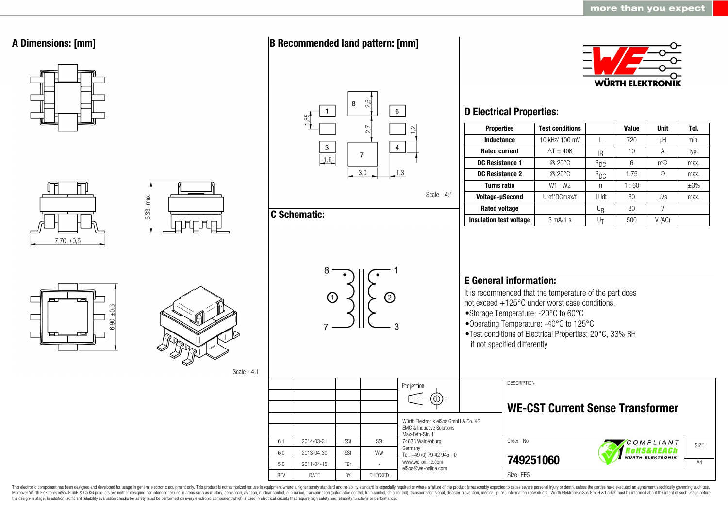

This electronic component has been designed and developed for usage in general electronic equipment only. This product is not authorized for use in equipment where a higher safety standard and reliability standard is espec Moreover Würth Elektronik eiSos GmbH & Co KG products are neither designed nor intended for use in areas such as military, aerospace, aviation, nuclear control, submarine, transportation (automotive control, ship control), the design-in stage. In addition, sufficient reliability evaluation checks for safety must be performed on every electronic component which is used in electrical circuits that require high safety and reliability functions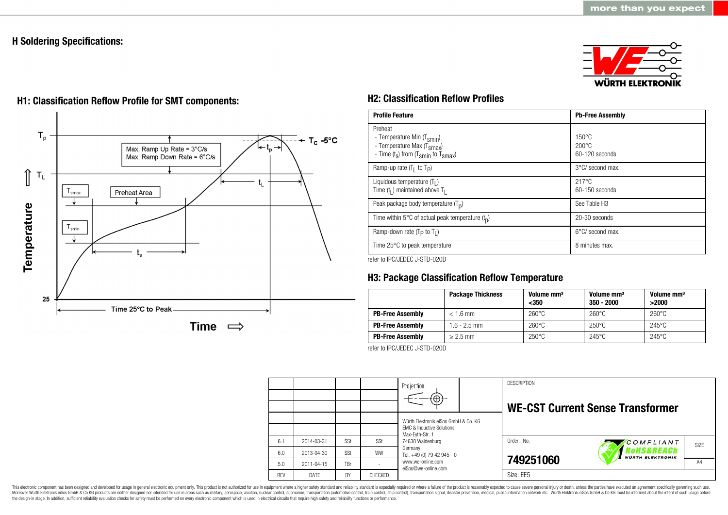# **H Soldering Specifications:**



# $T_{p}$  $T_c - 5$ °C Max. Ramp Up Rate = 3°C/s Max. Ramp Down Rate = 6°C/s ⇑  $\mathsf{T}_\mathsf{L}$ t. Preheat Area smax Temperature  $T_{\text{smin}}$ 25 Time 25°C to Peak Time  $\implies$

# **H1: Classification Reflow Profile for SMT components: H2: Classification Reflow Profiles**

| <b>Profile Feature</b>                                                                                                                        | <b>Pb-Free Assembly</b>                             |
|-----------------------------------------------------------------------------------------------------------------------------------------------|-----------------------------------------------------|
| Preheat<br>- Temperature Min (T <sub>smin</sub> )<br>- Temperature Max (T <sub>Smax</sub> )<br>- Time $(t_s)$ from $(T_{smin}$ to $T_{smax})$ | $150^{\circ}$ C<br>$200\degree C$<br>60-120 seconds |
| Ramp-up rate $(T_1$ to $T_p$ )                                                                                                                | 3°C/ second max.                                    |
| Liquidous temperature $(T1)$<br>Time $(tl)$ maintained above T <sub>1</sub>                                                                   | $217^{\circ}$ C<br>$60-150$ seconds                 |
| Peak package body temperature $(Tp)$                                                                                                          | See Table H <sub>3</sub>                            |
| Time within 5°C of actual peak temperature $(tn)$                                                                                             | 20-30 seconds                                       |
| Ramp-down rate $(T_P$ to $T_I$ )                                                                                                              | $6^{\circ}$ C/ second max.                          |
| Time 25°C to peak temperature                                                                                                                 | 8 minutes max.                                      |

refer to IPC/JEDEC J-STD-020D

# **H3: Package Classification Reflow Temperature**

|                         | <b>Package Thickness</b> | Volume mm <sup>3</sup><br>$350$ | Volume mm <sup>3</sup><br>$350 - 2000$ | Volume mm <sup>3</sup><br>>2000 |
|-------------------------|--------------------------|---------------------------------|----------------------------------------|---------------------------------|
| <b>PB-Free Assembly</b> | $< 1.6$ mm               | $260^{\circ}$ C                 | $260^{\circ}$ C                        | $260^{\circ}$ C                 |
| <b>PB-Free Assembly</b> | $1.6 - 2.5$ mm           | $260^{\circ}$ C                 | $250^{\circ}$ C                        | $245^{\circ}$ C                 |
| <b>PB-Free Assembly</b> | $> 2.5$ mm               | $250^{\circ}$ C                 | $245^{\circ}$ C                        | $245^{\circ}$ C                 |

refer to IPC/JEDEC J-STD-020D

|            |            |           |           | Projection<br>$(\oplus)$ -                                                   | <b>DESCRIPTION</b><br><b>WE-CST Current Sense Transformer</b> |
|------------|------------|-----------|-----------|------------------------------------------------------------------------------|---------------------------------------------------------------|
|            |            |           |           | Würth Elektronik eiSos GmbH & Co. KG<br><b>EMC &amp; Inductive Solutions</b> |                                                               |
| 6.1        | 2014-03-31 | SSt       | SSt       | Max-Eyth-Str. 1<br>74638 Waldenburg<br>Germany<br>Tel. +49 (0) 79 42 945 - 0 | Order - No.<br>COMPLIANT<br><b>SIZE</b>                       |
| 6.0        | 2013-04-30 | SSt       | <b>WW</b> |                                                                              | <b>OHS&amp;REACh</b><br><b>WÜRTH ELEKTRONIK</b>               |
| 5.0        | 2011-04-15 | TBr       |           | www.we-online.com<br>eiSos@we-online.com                                     | 749251060<br>A4                                               |
| <b>RFV</b> | DATE       | <b>BY</b> | CHECKED   |                                                                              | Size: EE5                                                     |

This electronic component has been designed and developed for usage in general electronic equipment only. This product is not authorized for use in equipment where a higher safety standard and reliability standard is espec Moreover Würth Elektronik eiSos GmbH & Co KG products are neither designed nor intended for use in areas such as military, aerospace, aviation, nuclear control, submarine, transportation (automotive control), stain control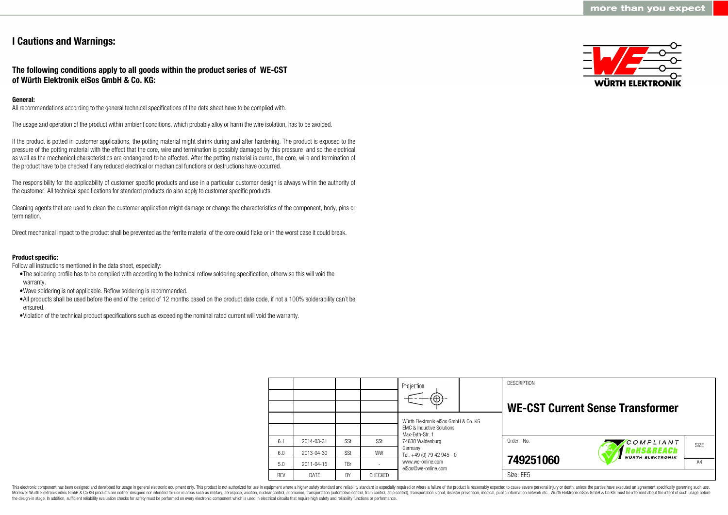# **I Cautions and Warnings:**

# **The following conditions apply to all goods within the product series of WE-CST of Würth Elektronik eiSos GmbH & Co. KG:**

## **General:**

All recommendations according to the general technical specifications of the data sheet have to be complied with.

The usage and operation of the product within ambient conditions, which probably alloy or harm the wire isolation, has to be avoided.

If the product is potted in customer applications, the potting material might shrink during and after hardening. The product is exposed to the pressure of the potting material with the effect that the core, wire and termination is possibly damaged by this pressure and so the electrical as well as the mechanical characteristics are endangered to be affected. After the potting material is cured, the core, wire and termination of the product have to be checked if any reduced electrical or mechanical functions or destructions have occurred.

The responsibility for the applicability of customer specific products and use in a particular customer design is always within the authority of the customer. All technical specifications for standard products do also apply to customer specific products.

Cleaning agents that are used to clean the customer application might damage or change the characteristics of the component, body, pins or termination.

Direct mechanical impact to the product shall be prevented as the ferrite material of the core could flake or in the worst case it could break.

## **Product specific:**

Follow all instructions mentioned in the data sheet, especially:

- •The soldering profile has to be complied with according to the technical reflow soldering specification, otherwise this will void the warranty.
- •Wave soldering is not applicable. Reflow soldering is recommended.
- •All products shall be used before the end of the period of 12 months based on the product date code, if not a 100% solderability can´t be ensured.
- •Violation of the technical product specifications such as exceeding the nominal rated current will void the warranty.

|           |                | Projection                                              | <b>DESCRIPTION</b>                      |                  |
|-----------|----------------|---------------------------------------------------------|-----------------------------------------|------------------|
|           |                | Würth Flektronik eiSos GmbH & Co. KG                    | <b>WE-CST Current Sense Transformer</b> |                  |
|           |                | <b>FMC &amp; Inductive Solutions</b><br>Max-Eyth-Str. 1 |                                         |                  |
| SSt       | SSt            | 74638 Waldenburg                                        | Order.- No.<br>COMPLIANT                | SI <sub>7F</sub> |
| SSt       | <b>WW</b>      | Germany<br>Tel. +49 (0) 79 42 945 - 0                   | <b>WÜRTH ELEKTRONIK</b>                 |                  |
| TBr       |                | www.we-online.com<br>eiSos@we-online.com                | 749251060                               | A4               |
| <b>BY</b> | <b>CHECKED</b> |                                                         | Size: FF5                               |                  |

This electronic component has been designed and developed for usage in general electronic equipment only. This product is not authorized for use in equipment where a higher safety standard and reliability standard is espec Moreover Würth Elektronik eiSos GmbH & Co KG products are neither designed nor intended for use in areas such as military, aerospace, aviation, nuclear control, submarine, transportation (automotive control), tain control) the design-in stage. In addition, sufficient reliability evaluation checks for safety must be performed on every electronic component which is used in electrical circuits that require high safety and reliability functions

6.1 6.0 5.0 REV 2014-03-31 2013-04-30 2011-04-15 DATE